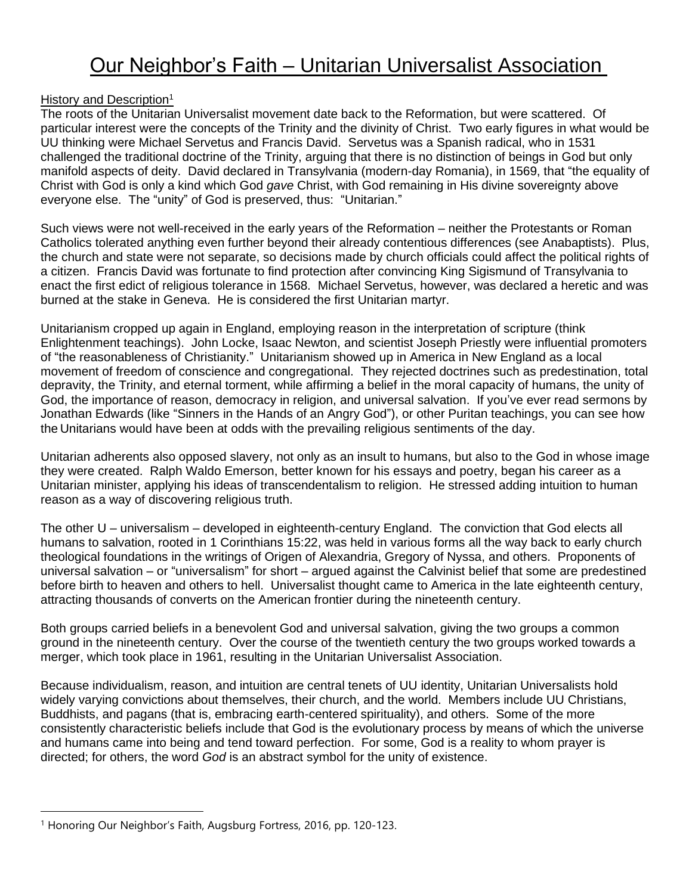# Our Neighbor's Faith – Unitarian Universalist Association

### History and Description<sup>1</sup>

The roots of the Unitarian Universalist movement date back to the Reformation, but were scattered. Of particular interest were the concepts of the Trinity and the divinity of Christ. Two early figures in what would be UU thinking were Michael Servetus and Francis David. Servetus was a Spanish radical, who in 1531 challenged the traditional doctrine of the Trinity, arguing that there is no distinction of beings in God but only manifold aspects of deity. David declared in Transylvania (modern-day Romania), in 1569, that "the equality of Christ with God is only a kind which God *gave* Christ, with God remaining in His divine sovereignty above everyone else. The "unity" of God is preserved, thus: "Unitarian."

Such views were not well-received in the early years of the Reformation – neither the Protestants or Roman Catholics tolerated anything even further beyond their already contentious differences (see Anabaptists). Plus, the church and state were not separate, so decisions made by church officials could affect the political rights of a citizen. Francis David was fortunate to find protection after convincing King Sigismund of Transylvania to enact the first edict of religious tolerance in 1568. Michael Servetus, however, was declared a heretic and was burned at the stake in Geneva. He is considered the first Unitarian martyr.

Unitarianism cropped up again in England, employing reason in the interpretation of scripture (think Enlightenment teachings). John Locke, Isaac Newton, and scientist Joseph Priestly were influential promoters of "the reasonableness of Christianity." Unitarianism showed up in America in New England as a local movement of freedom of conscience and congregational. They rejected doctrines such as predestination, total depravity, the Trinity, and eternal torment, while affirming a belief in the moral capacity of humans, the unity of God, the importance of reason, democracy in religion, and universal salvation. If you've ever read sermons by Jonathan Edwards (like "Sinners in the Hands of an Angry God"), or other Puritan teachings, you can see how the Unitarians would have been at odds with the prevailing religious sentiments of the day.

Unitarian adherents also opposed slavery, not only as an insult to humans, but also to the God in whose image they were created. Ralph Waldo Emerson, better known for his essays and poetry, began his career as a Unitarian minister, applying his ideas of transcendentalism to religion. He stressed adding intuition to human reason as a way of discovering religious truth.

The other U – universalism – developed in eighteenth-century England. The conviction that God elects all humans to salvation, rooted in 1 Corinthians 15:22, was held in various forms all the way back to early church theological foundations in the writings of Origen of Alexandria, Gregory of Nyssa, and others. Proponents of universal salvation – or "universalism" for short – argued against the Calvinist belief that some are predestined before birth to heaven and others to hell. Universalist thought came to America in the late eighteenth century, attracting thousands of converts on the American frontier during the nineteenth century.

Both groups carried beliefs in a benevolent God and universal salvation, giving the two groups a common ground in the nineteenth century. Over the course of the twentieth century the two groups worked towards a merger, which took place in 1961, resulting in the Unitarian Universalist Association.

Because individualism, reason, and intuition are central tenets of UU identity, Unitarian Universalists hold widely varying convictions about themselves, their church, and the world. Members include UU Christians, Buddhists, and pagans (that is, embracing earth-centered spirituality), and others. Some of the more consistently characteristic beliefs include that God is the evolutionary process by means of which the universe and humans came into being and tend toward perfection. For some, God is a reality to whom prayer is directed; for others, the word *God* is an abstract symbol for the unity of existence.

<sup>&</sup>lt;sup>1</sup> Honoring Our Neighbor's Faith, Augsburg Fortress, 2016, pp. 120-123.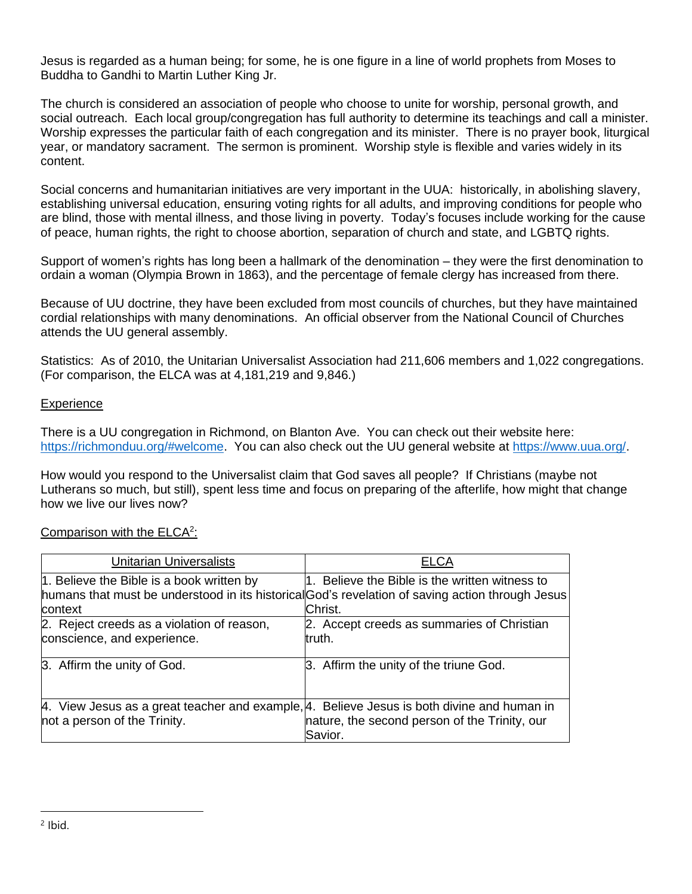Jesus is regarded as a human being; for some, he is one figure in a line of world prophets from Moses to Buddha to Gandhi to Martin Luther King Jr.

The church is considered an association of people who choose to unite for worship, personal growth, and social outreach. Each local group/congregation has full authority to determine its teachings and call a minister. Worship expresses the particular faith of each congregation and its minister. There is no prayer book, liturgical year, or mandatory sacrament. The sermon is prominent. Worship style is flexible and varies widely in its content.

Social concerns and humanitarian initiatives are very important in the UUA: historically, in abolishing slavery, establishing universal education, ensuring voting rights for all adults, and improving conditions for people who are blind, those with mental illness, and those living in poverty. Today's focuses include working for the cause of peace, human rights, the right to choose abortion, separation of church and state, and LGBTQ rights.

Support of women's rights has long been a hallmark of the denomination – they were the first denomination to ordain a woman (Olympia Brown in 1863), and the percentage of female clergy has increased from there.

Because of UU doctrine, they have been excluded from most councils of churches, but they have maintained cordial relationships with many denominations. An official observer from the National Council of Churches attends the UU general assembly.

Statistics: As of 2010, the Unitarian Universalist Association had 211,606 members and 1,022 congregations. (For comparison, the ELCA was at 4,181,219 and 9,846.)

### **Experience**

There is a UU congregation in Richmond, on Blanton Ave. You can check out their website here: https://richmonduu.org/#welcome. You can also check out the UU general website at https://www.uua.org/.

How would you respond to the Universalist claim that God saves all people? If Christians (maybe not Lutherans so much, but still), spent less time and focus on preparing of the afterlife, how might that change how we live our lives now?

| <b>Unitarian Universalists</b>                                                                                             | <b>ELCA</b>                                                                                                                                                   |
|----------------------------------------------------------------------------------------------------------------------------|---------------------------------------------------------------------------------------------------------------------------------------------------------------|
| 1. Believe the Bible is a book written by<br>context                                                                       | 1. Believe the Bible is the written witness to<br>humans that must be understood in its historical God's revelation of saving action through Jesus<br>Christ. |
| 2. Reject creeds as a violation of reason,<br>conscience, and experience.                                                  | 2. Accept creeds as summaries of Christian<br>truth.                                                                                                          |
| 3. Affirm the unity of God.                                                                                                | 3. Affirm the unity of the triune God.                                                                                                                        |
| 4. View Jesus as a great teacher and example, 4. Believe Jesus is both divine and human in<br>not a person of the Trinity. | nature, the second person of the Trinity, our<br>Savior.                                                                                                      |

# Comparison with the ELCA<sup>2</sup>: